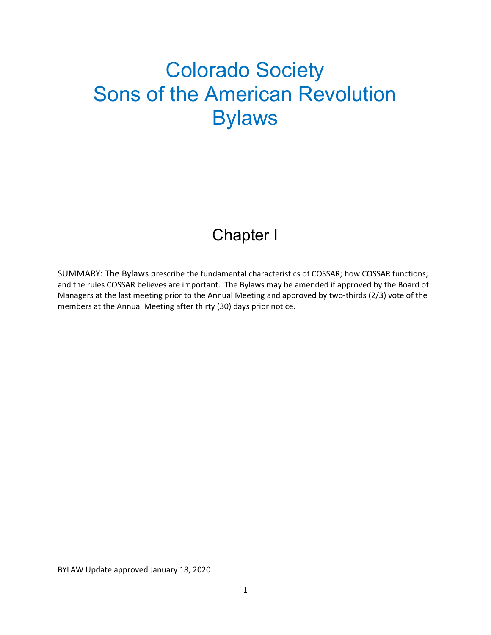# Colorado Society Sons of the American Revolution Bylaws

# Chapter I

SUMMARY: The Bylaws prescribe the fundamental characteristics of COSSAR; how COSSAR functions; and the rules COSSAR believes are important. The Bylaws may be amended if approved by the Board of Managers at the last meeting prior to the Annual Meeting and approved by two-thirds (2/3) vote of the members at the Annual Meeting after thirty (30) days prior notice.

BYLAW Update approved January 18, 2020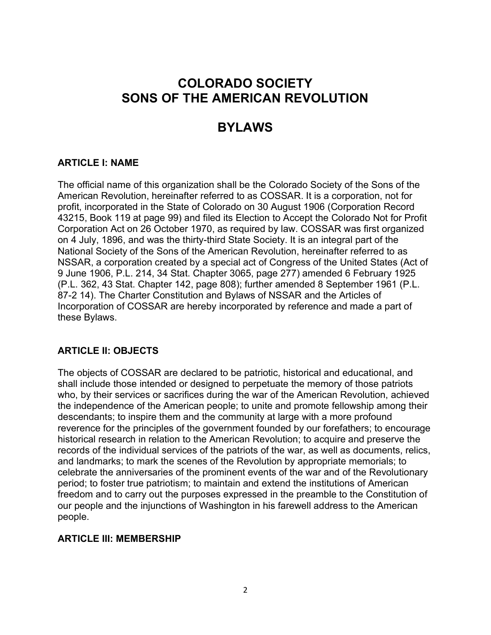## COLORADO SOCIETY SONS OF THE AMERICAN REVOLUTION

## BYLAWS

#### ARTICLE I: NAME

The official name of this organization shall be the Colorado Society of the Sons of the American Revolution, hereinafter referred to as COSSAR. It is a corporation, not for profit, incorporated in the State of Colorado on 30 August 1906 (Corporation Record 43215, Book 119 at page 99) and filed its Election to Accept the Colorado Not for Profit Corporation Act on 26 October 1970, as required by law. COSSAR was first organized on 4 July, 1896, and was the thirty-third State Society. It is an integral part of the National Society of the Sons of the American Revolution, hereinafter referred to as NSSAR, a corporation created by a special act of Congress of the United States (Act of 9 June 1906, P.L. 214, 34 Stat. Chapter 3065, page 277) amended 6 February 1925 (P.L. 362, 43 Stat. Chapter 142, page 808); further amended 8 September 1961 (P.L. 87-2 14). The Charter Constitution and Bylaws of NSSAR and the Articles of Incorporation of COSSAR are hereby incorporated by reference and made a part of these Bylaws.

#### ARTICLE II: OBJECTS

The objects of COSSAR are declared to be patriotic, historical and educational, and shall include those intended or designed to perpetuate the memory of those patriots who, by their services or sacrifices during the war of the American Revolution, achieved the independence of the American people; to unite and promote fellowship among their descendants; to inspire them and the community at large with a more profound reverence for the principles of the government founded by our forefathers; to encourage historical research in relation to the American Revolution; to acquire and preserve the records of the individual services of the patriots of the war, as well as documents, relics, and landmarks; to mark the scenes of the Revolution by appropriate memorials; to celebrate the anniversaries of the prominent events of the war and of the Revolutionary period; to foster true patriotism; to maintain and extend the institutions of American freedom and to carry out the purposes expressed in the preamble to the Constitution of our people and the injunctions of Washington in his farewell address to the American people.

#### ARTICLE III: MEMBERSHIP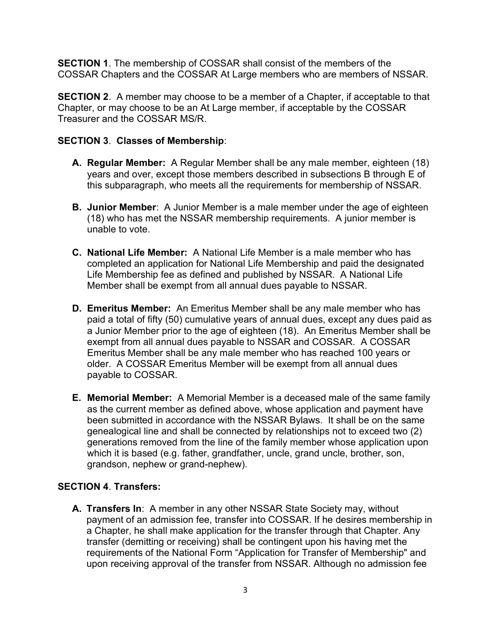SECTION 1. The membership of COSSAR shall consist of the members of the COSSAR Chapters and the COSSAR At Large members who are members of NSSAR.

**SECTION 2.** A member may choose to be a member of a Chapter, if acceptable to that Chapter, or may choose to be an At Large member, if acceptable by the COSSAR Treasurer and the COSSAR MS/R.

#### SECTION 3. Classes of Membership:

- A. Regular Member: A Regular Member shall be any male member, eighteen (18) years and over, except those members described in subsections B through E of this subparagraph, who meets all the requirements for membership of NSSAR.
- **B. Junior Member:** A Junior Member is a male member under the age of eighteen (18) who has met the NSSAR membership requirements. A junior member is unable to vote.
- C. National Life Member: A National Life Member is a male member who has completed an application for National Life Membership and paid the designated Life Membership fee as defined and published by NSSAR. A National Life Member shall be exempt from all annual dues payable to NSSAR.
- D. Emeritus Member: An Emeritus Member shall be any male member who has paid a total of fifty (50) cumulative years of annual dues, except any dues paid as a Junior Member prior to the age of eighteen (18). An Emeritus Member shall be exempt from all annual dues payable to NSSAR and COSSAR. A COSSAR Emeritus Member shall be any male member who has reached 100 years or older. A COSSAR Emeritus Member will be exempt from all annual dues payable to COSSAR.
- E. Memorial Member: A Memorial Member is a deceased male of the same family as the current member as defined above, whose application and payment have been submitted in accordance with the NSSAR Bylaws. It shall be on the same genealogical line and shall be connected by relationships not to exceed two (2) generations removed from the line of the family member whose application upon which it is based (e.g. father, grandfather, uncle, grand uncle, brother, son, grandson, nephew or grand-nephew).

#### SECTION 4. Transfers:

A. Transfers In: A member in any other NSSAR State Society may, without payment of an admission fee, transfer into COSSAR. If he desires membership in a Chapter, he shall make application for the transfer through that Chapter. Any transfer (demitting or receiving) shall be contingent upon his having met the requirements of the National Form "Application for Transfer of Membership" and upon receiving approval of the transfer from NSSAR. Although no admission fee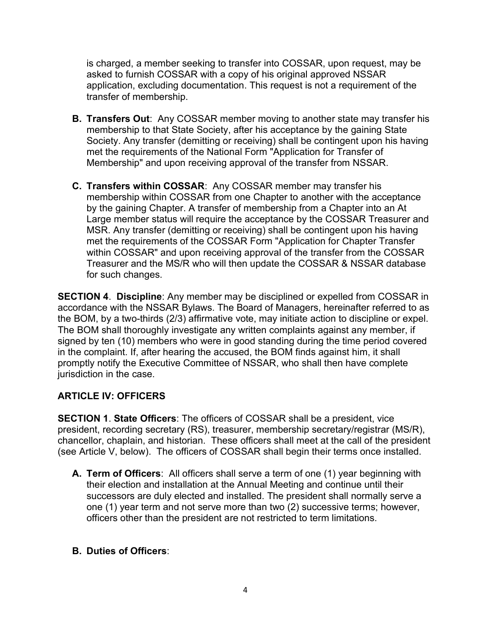is charged, a member seeking to transfer into COSSAR, upon request, may be asked to furnish COSSAR with a copy of his original approved NSSAR application, excluding documentation. This request is not a requirement of the transfer of membership.

- **B. Transfers Out:** Any COSSAR member moving to another state may transfer his membership to that State Society, after his acceptance by the gaining State Society. Any transfer (demitting or receiving) shall be contingent upon his having met the requirements of the National Form "Application for Transfer of Membership" and upon receiving approval of the transfer from NSSAR.
- C. Transfers within COSSAR: Any COSSAR member may transfer his membership within COSSAR from one Chapter to another with the acceptance by the gaining Chapter. A transfer of membership from a Chapter into an At Large member status will require the acceptance by the COSSAR Treasurer and MSR. Any transfer (demitting or receiving) shall be contingent upon his having met the requirements of the COSSAR Form "Application for Chapter Transfer within COSSAR" and upon receiving approval of the transfer from the COSSAR Treasurer and the MS/R who will then update the COSSAR & NSSAR database for such changes.

SECTION 4. Discipline: Any member may be disciplined or expelled from COSSAR in accordance with the NSSAR Bylaws. The Board of Managers, hereinafter referred to as the BOM, by a two-thirds (2/3) affirmative vote, may initiate action to discipline or expel. The BOM shall thoroughly investigate any written complaints against any member, if signed by ten (10) members who were in good standing during the time period covered in the complaint. If, after hearing the accused, the BOM finds against him, it shall promptly notify the Executive Committee of NSSAR, who shall then have complete jurisdiction in the case.

#### ARTICLE IV: OFFICERS

SECTION 1. State Officers: The officers of COSSAR shall be a president, vice president, recording secretary (RS), treasurer, membership secretary/registrar (MS/R), chancellor, chaplain, and historian. These officers shall meet at the call of the president (see Article V, below). The officers of COSSAR shall begin their terms once installed.

- A. Term of Officers: All officers shall serve a term of one (1) year beginning with their election and installation at the Annual Meeting and continue until their successors are duly elected and installed. The president shall normally serve a one (1) year term and not serve more than two (2) successive terms; however, officers other than the president are not restricted to term limitations.
- B. Duties of Officers: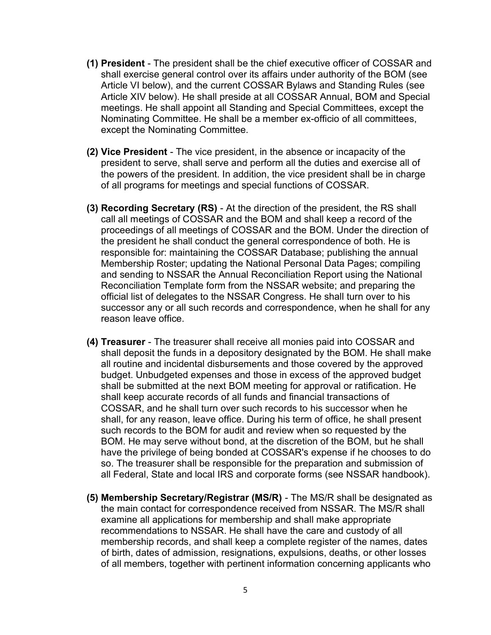- (1) President The president shall be the chief executive officer of COSSAR and shall exercise general control over its affairs under authority of the BOM (see Article VI below), and the current COSSAR Bylaws and Standing Rules (see Article XIV below). He shall preside at all COSSAR Annual, BOM and Special meetings. He shall appoint all Standing and Special Committees, except the Nominating Committee. He shall be a member ex-officio of all committees, except the Nominating Committee.
- (2) Vice President The vice president, in the absence or incapacity of the president to serve, shall serve and perform all the duties and exercise all of the powers of the president. In addition, the vice president shall be in charge of all programs for meetings and special functions of COSSAR.
- (3) Recording Secretary (RS) At the direction of the president, the RS shall call all meetings of COSSAR and the BOM and shall keep a record of the proceedings of all meetings of COSSAR and the BOM. Under the direction of the president he shall conduct the general correspondence of both. He is responsible for: maintaining the COSSAR Database; publishing the annual Membership Roster; updating the National Personal Data Pages; compiling and sending to NSSAR the Annual Reconciliation Report using the National Reconciliation Template form from the NSSAR website; and preparing the official list of delegates to the NSSAR Congress. He shall turn over to his successor any or all such records and correspondence, when he shall for any reason leave office.
- (4) Treasurer The treasurer shall receive all monies paid into COSSAR and shall deposit the funds in a depository designated by the BOM. He shall make all routine and incidental disbursements and those covered by the approved budget. Unbudgeted expenses and those in excess of the approved budget shall be submitted at the next BOM meeting for approval or ratification. He shall keep accurate records of all funds and financial transactions of COSSAR, and he shall turn over such records to his successor when he shall, for any reason, leave office. During his term of office, he shall present such records to the BOM for audit and review when so requested by the BOM. He may serve without bond, at the discretion of the BOM, but he shall have the privilege of being bonded at COSSAR's expense if he chooses to do so. The treasurer shall be responsible for the preparation and submission of all Federal, State and local IRS and corporate forms (see NSSAR handbook).
- (5) Membership Secretary/Registrar (MS/R) The MS/R shall be designated as the main contact for correspondence received from NSSAR. The MS/R shall examine all applications for membership and shall make appropriate recommendations to NSSAR. He shall have the care and custody of all membership records, and shall keep a complete register of the names, dates of birth, dates of admission, resignations, expulsions, deaths, or other losses of all members, together with pertinent information concerning applicants who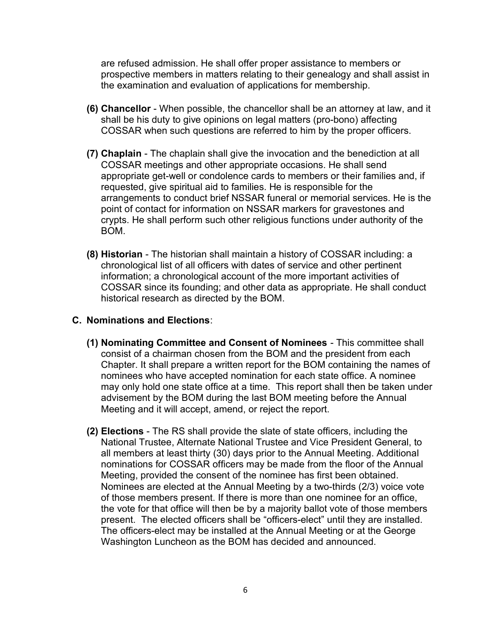are refused admission. He shall offer proper assistance to members or prospective members in matters relating to their genealogy and shall assist in the examination and evaluation of applications for membership.

- (6) Chancellor When possible, the chancellor shall be an attorney at law, and it shall be his duty to give opinions on legal matters (pro-bono) affecting COSSAR when such questions are referred to him by the proper officers.
- (7) Chaplain The chaplain shall give the invocation and the benediction at all COSSAR meetings and other appropriate occasions. He shall send appropriate get-well or condolence cards to members or their families and, if requested, give spiritual aid to families. He is responsible for the arrangements to conduct brief NSSAR funeral or memorial services. He is the point of contact for information on NSSAR markers for gravestones and crypts. He shall perform such other religious functions under authority of the BOM.
- (8) Historian The historian shall maintain a history of COSSAR including: a chronological list of all officers with dates of service and other pertinent information; a chronological account of the more important activities of COSSAR since its founding; and other data as appropriate. He shall conduct historical research as directed by the BOM.

#### C. Nominations and Elections:

- (1) Nominating Committee and Consent of Nominees This committee shall consist of a chairman chosen from the BOM and the president from each Chapter. It shall prepare a written report for the BOM containing the names of nominees who have accepted nomination for each state office. A nominee may only hold one state office at a time. This report shall then be taken under advisement by the BOM during the last BOM meeting before the Annual Meeting and it will accept, amend, or reject the report.
- (2) Elections The RS shall provide the slate of state officers, including the National Trustee, Alternate National Trustee and Vice President General, to all members at least thirty (30) days prior to the Annual Meeting. Additional nominations for COSSAR officers may be made from the floor of the Annual Meeting, provided the consent of the nominee has first been obtained. Nominees are elected at the Annual Meeting by a two-thirds (2/3) voice vote of those members present. If there is more than one nominee for an office, the vote for that office will then be by a majority ballot vote of those members present. The elected officers shall be "officers-elect" until they are installed. The officers-elect may be installed at the Annual Meeting or at the George Washington Luncheon as the BOM has decided and announced.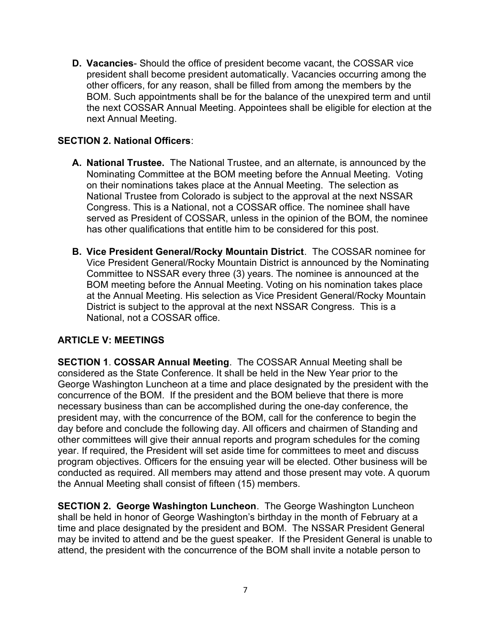D. Vacancies- Should the office of president become vacant, the COSSAR vice president shall become president automatically. Vacancies occurring among the other officers, for any reason, shall be filled from among the members by the BOM. Such appointments shall be for the balance of the unexpired term and until the next COSSAR Annual Meeting. Appointees shall be eligible for election at the next Annual Meeting.

#### SECTION 2. National Officers:

- A. National Trustee. The National Trustee, and an alternate, is announced by the Nominating Committee at the BOM meeting before the Annual Meeting. Voting on their nominations takes place at the Annual Meeting. The selection as National Trustee from Colorado is subject to the approval at the next NSSAR Congress. This is a National, not a COSSAR office. The nominee shall have served as President of COSSAR, unless in the opinion of the BOM, the nominee has other qualifications that entitle him to be considered for this post.
- B. Vice President General/Rocky Mountain District. The COSSAR nominee for Vice President General/Rocky Mountain District is announced by the Nominating Committee to NSSAR every three (3) years. The nominee is announced at the BOM meeting before the Annual Meeting. Voting on his nomination takes place at the Annual Meeting. His selection as Vice President General/Rocky Mountain District is subject to the approval at the next NSSAR Congress. This is a National, not a COSSAR office.

#### ARTICLE V: MEETINGS

SECTION 1. COSSAR Annual Meeting. The COSSAR Annual Meeting shall be considered as the State Conference. It shall be held in the New Year prior to the George Washington Luncheon at a time and place designated by the president with the concurrence of the BOM. If the president and the BOM believe that there is more necessary business than can be accomplished during the one-day conference, the president may, with the concurrence of the BOM, call for the conference to begin the day before and conclude the following day. All officers and chairmen of Standing and other committees will give their annual reports and program schedules for the coming year. If required, the President will set aside time for committees to meet and discuss program objectives. Officers for the ensuing year will be elected. Other business will be conducted as required. All members may attend and those present may vote. A quorum the Annual Meeting shall consist of fifteen (15) members.

SECTION 2. George Washington Luncheon. The George Washington Luncheon shall be held in honor of George Washington's birthday in the month of February at a time and place designated by the president and BOM. The NSSAR President General may be invited to attend and be the guest speaker. If the President General is unable to attend, the president with the concurrence of the BOM shall invite a notable person to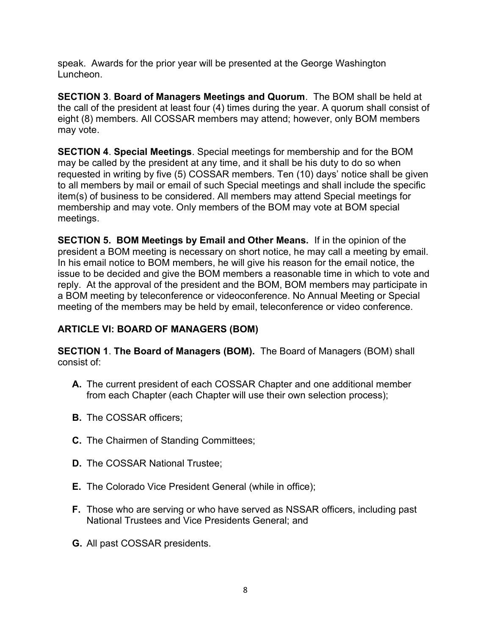speak. Awards for the prior year will be presented at the George Washington Luncheon.

SECTION 3. Board of Managers Meetings and Quorum. The BOM shall be held at the call of the president at least four (4) times during the year. A quorum shall consist of eight (8) members. All COSSAR members may attend; however, only BOM members may vote.

SECTION 4. Special Meetings. Special meetings for membership and for the BOM may be called by the president at any time, and it shall be his duty to do so when requested in writing by five (5) COSSAR members. Ten (10) days' notice shall be given to all members by mail or email of such Special meetings and shall include the specific item(s) of business to be considered. All members may attend Special meetings for membership and may vote. Only members of the BOM may vote at BOM special meetings.

SECTION 5. BOM Meetings by Email and Other Means. If in the opinion of the president a BOM meeting is necessary on short notice, he may call a meeting by email. In his email notice to BOM members, he will give his reason for the email notice, the issue to be decided and give the BOM members a reasonable time in which to vote and reply. At the approval of the president and the BOM, BOM members may participate in a BOM meeting by teleconference or videoconference. No Annual Meeting or Special meeting of the members may be held by email, teleconference or video conference.

#### ARTICLE VI: BOARD OF MANAGERS (BOM)

SECTION 1. The Board of Managers (BOM). The Board of Managers (BOM) shall consist of:

- A. The current president of each COSSAR Chapter and one additional member from each Chapter (each Chapter will use their own selection process);
- **B.** The COSSAR officers;
- C. The Chairmen of Standing Committees;
- D. The COSSAR National Trustee;
- E. The Colorado Vice President General (while in office);
- F. Those who are serving or who have served as NSSAR officers, including past National Trustees and Vice Presidents General; and
- G. All past COSSAR presidents.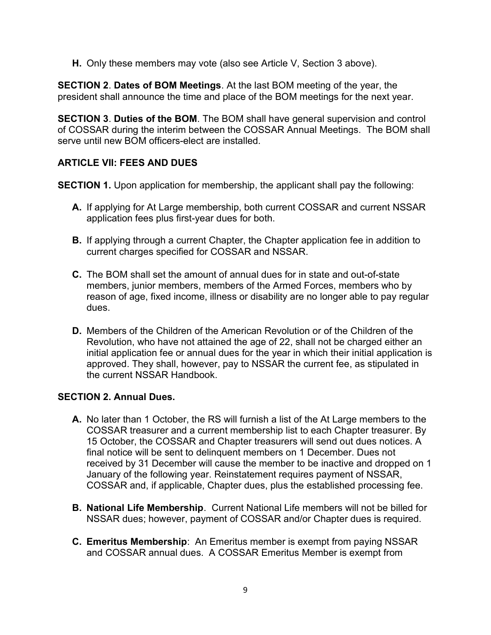H. Only these members may vote (also see Article V, Section 3 above).

SECTION 2. Dates of BOM Meetings. At the last BOM meeting of the year, the president shall announce the time and place of the BOM meetings for the next year.

SECTION 3. Duties of the BOM. The BOM shall have general supervision and control of COSSAR during the interim between the COSSAR Annual Meetings. The BOM shall serve until new BOM officers-elect are installed.

#### ARTICLE VII: FEES AND DUES

SECTION 1. Upon application for membership, the applicant shall pay the following:

- A. If applying for At Large membership, both current COSSAR and current NSSAR application fees plus first-year dues for both.
- **B.** If applying through a current Chapter, the Chapter application fee in addition to current charges specified for COSSAR and NSSAR.
- C. The BOM shall set the amount of annual dues for in state and out-of-state members, junior members, members of the Armed Forces, members who by reason of age, fixed income, illness or disability are no longer able to pay regular dues.
- D. Members of the Children of the American Revolution or of the Children of the Revolution, who have not attained the age of 22, shall not be charged either an initial application fee or annual dues for the year in which their initial application is approved. They shall, however, pay to NSSAR the current fee, as stipulated in the current NSSAR Handbook.

#### SECTION 2. Annual Dues.

- A. No later than 1 October, the RS will furnish a list of the At Large members to the COSSAR treasurer and a current membership list to each Chapter treasurer. By 15 October, the COSSAR and Chapter treasurers will send out dues notices. A final notice will be sent to delinquent members on 1 December. Dues not received by 31 December will cause the member to be inactive and dropped on 1 January of the following year. Reinstatement requires payment of NSSAR, COSSAR and, if applicable, Chapter dues, plus the established processing fee.
- B. National Life Membership. Current National Life members will not be billed for NSSAR dues; however, payment of COSSAR and/or Chapter dues is required.
- C. Emeritus Membership: An Emeritus member is exempt from paying NSSAR and COSSAR annual dues. A COSSAR Emeritus Member is exempt from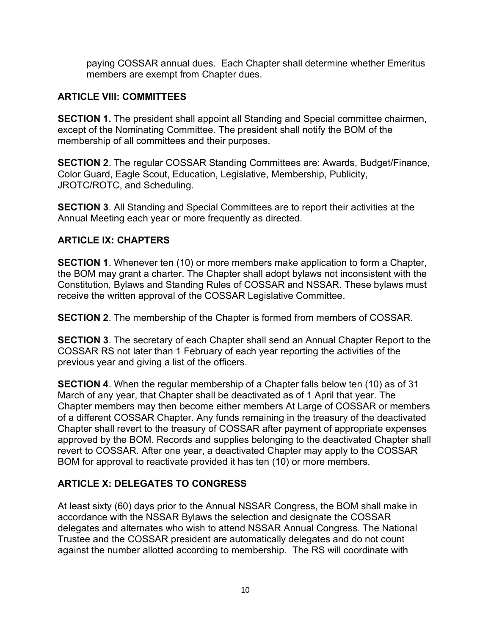paying COSSAR annual dues. Each Chapter shall determine whether Emeritus members are exempt from Chapter dues.

#### ARTICLE VIII: COMMITTEES

SECTION 1. The president shall appoint all Standing and Special committee chairmen, except of the Nominating Committee. The president shall notify the BOM of the membership of all committees and their purposes.

SECTION 2. The regular COSSAR Standing Committees are: Awards, Budget/Finance, Color Guard, Eagle Scout, Education, Legislative, Membership, Publicity, JROTC/ROTC, and Scheduling.

SECTION 3. All Standing and Special Committees are to report their activities at the Annual Meeting each year or more frequently as directed.

#### ARTICLE IX: CHAPTERS

SECTION 1. Whenever ten (10) or more members make application to form a Chapter, the BOM may grant a charter. The Chapter shall adopt bylaws not inconsistent with the Constitution, Bylaws and Standing Rules of COSSAR and NSSAR. These bylaws must receive the written approval of the COSSAR Legislative Committee.

**SECTION 2.** The membership of the Chapter is formed from members of COSSAR.

**SECTION 3.** The secretary of each Chapter shall send an Annual Chapter Report to the COSSAR RS not later than 1 February of each year reporting the activities of the previous year and giving a list of the officers.

SECTION 4. When the regular membership of a Chapter falls below ten (10) as of 31 March of any year, that Chapter shall be deactivated as of 1 April that year. The Chapter members may then become either members At Large of COSSAR or members of a different COSSAR Chapter. Any funds remaining in the treasury of the deactivated Chapter shall revert to the treasury of COSSAR after payment of appropriate expenses approved by the BOM. Records and supplies belonging to the deactivated Chapter shall revert to COSSAR. After one year, a deactivated Chapter may apply to the COSSAR BOM for approval to reactivate provided it has ten (10) or more members.

#### ARTICLE X: DELEGATES TO CONGRESS

At least sixty (60) days prior to the Annual NSSAR Congress, the BOM shall make in accordance with the NSSAR Bylaws the selection and designate the COSSAR delegates and alternates who wish to attend NSSAR Annual Congress. The National Trustee and the COSSAR president are automatically delegates and do not count against the number allotted according to membership. The RS will coordinate with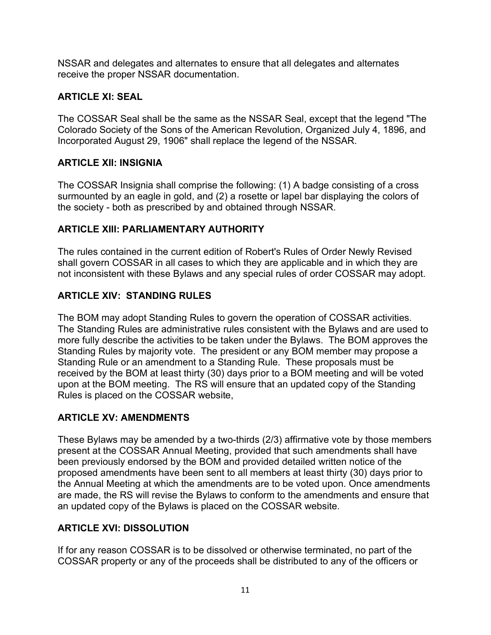NSSAR and delegates and alternates to ensure that all delegates and alternates receive the proper NSSAR documentation.

#### ARTICLE XI: SEAL

The COSSAR Seal shall be the same as the NSSAR Seal, except that the legend "The Colorado Society of the Sons of the American Revolution, Organized July 4, 1896, and Incorporated August 29, 1906" shall replace the legend of the NSSAR.

#### ARTICLE XII: INSIGNIA

The COSSAR Insignia shall comprise the following: (1) A badge consisting of a cross surmounted by an eagle in gold, and (2) a rosette or lapel bar displaying the colors of the society - both as prescribed by and obtained through NSSAR.

#### ARTICLE XIII: PARLIAMENTARY AUTHORITY

The rules contained in the current edition of Robert's Rules of Order Newly Revised shall govern COSSAR in all cases to which they are applicable and in which they are not inconsistent with these Bylaws and any special rules of order COSSAR may adopt.

#### ARTICLE XIV: STANDING RULES

The BOM may adopt Standing Rules to govern the operation of COSSAR activities. The Standing Rules are administrative rules consistent with the Bylaws and are used to more fully describe the activities to be taken under the Bylaws. The BOM approves the Standing Rules by majority vote. The president or any BOM member may propose a Standing Rule or an amendment to a Standing Rule. These proposals must be received by the BOM at least thirty (30) days prior to a BOM meeting and will be voted upon at the BOM meeting. The RS will ensure that an updated copy of the Standing Rules is placed on the COSSAR website,

#### ARTICLE XV: AMENDMENTS

These Bylaws may be amended by a two-thirds (2/3) affirmative vote by those members present at the COSSAR Annual Meeting, provided that such amendments shall have been previously endorsed by the BOM and provided detailed written notice of the proposed amendments have been sent to all members at least thirty (30) days prior to the Annual Meeting at which the amendments are to be voted upon. Once amendments are made, the RS will revise the Bylaws to conform to the amendments and ensure that an updated copy of the Bylaws is placed on the COSSAR website.

#### ARTICLE XVI: DISSOLUTION

If for any reason COSSAR is to be dissolved or otherwise terminated, no part of the COSSAR property or any of the proceeds shall be distributed to any of the officers or